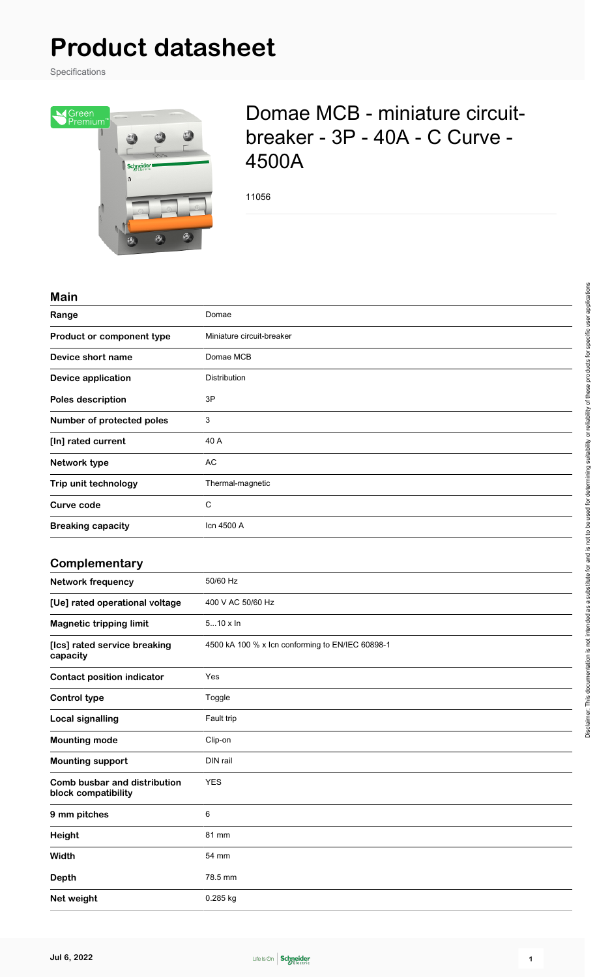# **Product datasheet**

Specifications



# Domae MCB - miniature circuitbreaker - 3P - 40A - C Curve - 4500A

11056

#### **Main**

| Range                                               | Domae                                            |
|-----------------------------------------------------|--------------------------------------------------|
| Product or component type                           | Miniature circuit-breaker                        |
| Device short name                                   | Domae MCB                                        |
| <b>Device application</b>                           | Distribution                                     |
| Poles description                                   | 3P                                               |
| Number of protected poles                           | 3                                                |
| [In] rated current                                  | 40 A                                             |
| Network type                                        | AC                                               |
| Trip unit technology                                | Thermal-magnetic                                 |
| <b>Curve code</b>                                   | $\mathsf C$                                      |
| <b>Breaking capacity</b>                            | Icn 4500 A                                       |
|                                                     |                                                  |
| Complementary                                       |                                                  |
| <b>Network frequency</b>                            | 50/60 Hz                                         |
| [Ue] rated operational voltage                      | 400 V AC 50/60 Hz                                |
| <b>Magnetic tripping limit</b>                      | $510 \times \ln$                                 |
| [Ics] rated service breaking<br>capacity            | 4500 kA 100 % x lcn conforming to EN/IEC 60898-1 |
| <b>Contact position indicator</b>                   | Yes                                              |
| <b>Control type</b>                                 | Toggle                                           |
| <b>Local signalling</b>                             | Fault trip                                       |
| <b>Mounting mode</b>                                | Clip-on                                          |
| <b>Mounting support</b>                             | DIN rail                                         |
| Comb busbar and distribution<br>block compatibility | <b>YES</b>                                       |
| 9 mm pitches                                        | $\,6\,$                                          |
| Height                                              | 81 mm                                            |
| Width                                               | 54 mm                                            |
| <b>Depth</b>                                        | 78.5 mm                                          |
| Net weight                                          | 0.285 kg                                         |

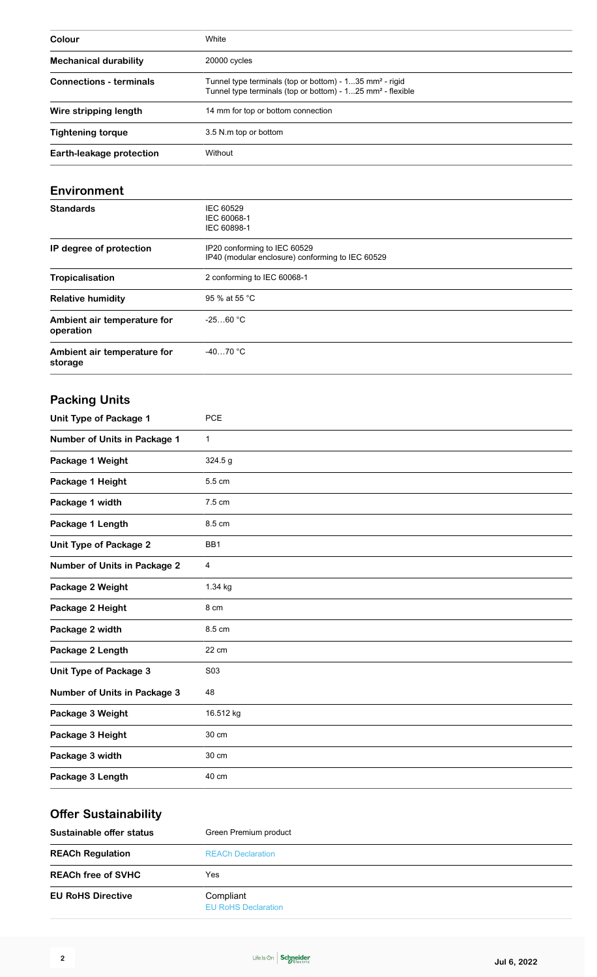| Colour                         | White                                                                                                                                           |
|--------------------------------|-------------------------------------------------------------------------------------------------------------------------------------------------|
| <b>Mechanical durability</b>   | 20000 cycles                                                                                                                                    |
| <b>Connections - terminals</b> | Tunnel type terminals (top or bottom) - $135$ mm <sup>2</sup> - rigid<br>Tunnel type terminals (top or bottom) - 125 mm <sup>2</sup> - flexible |
| Wire stripping length          | 14 mm for top or bottom connection                                                                                                              |
| <b>Tightening torque</b>       | 3.5 N.m top or bottom                                                                                                                           |
| Earth-leakage protection       | Without                                                                                                                                         |

#### **Environment**

| <b>Standards</b>                         | IEC 60529<br>IEC 60068-1<br>IEC 60898-1                                          |
|------------------------------------------|----------------------------------------------------------------------------------|
| IP degree of protection                  | IP20 conforming to IEC 60529<br>IP40 (modular enclosure) conforming to IEC 60529 |
| <b>Tropicalisation</b>                   | 2 conforming to IEC 60068-1                                                      |
| <b>Relative humidity</b>                 | 95 % at 55 °C                                                                    |
| Ambient air temperature for<br>operation | $-2560 °C$                                                                       |
| Ambient air temperature for<br>storage   | $-4070 °C$                                                                       |

# **Packing Units**

| <b>Unit Type of Package 1</b>       | <b>PCE</b>      |
|-------------------------------------|-----------------|
| Number of Units in Package 1        | $\mathbf{1}$    |
| Package 1 Weight                    | 324.5 g         |
| Package 1 Height                    | 5.5 cm          |
| Package 1 width                     | 7.5 cm          |
| Package 1 Length                    | 8.5 cm          |
| <b>Unit Type of Package 2</b>       | BB <sub>1</sub> |
| <b>Number of Units in Package 2</b> | 4               |
| Package 2 Weight                    | 1.34 kg         |
| Package 2 Height                    | 8 cm            |
| Package 2 width                     | 8.5 cm          |
| Package 2 Length                    | 22 cm           |
| <b>Unit Type of Package 3</b>       | S03             |
| <b>Number of Units in Package 3</b> | 48              |
| Package 3 Weight                    | 16.512 kg       |
| Package 3 Height                    | 30 cm           |
| Package 3 width                     | 30 cm           |
| Package 3 Length                    | 40 cm           |

# **Offer Sustainability**

| Sustainable offer status  | Green Premium product                   |  |
|---------------------------|-----------------------------------------|--|
| <b>REACh Regulation</b>   | <b>REACh Declaration</b>                |  |
| <b>REACh free of SVHC</b> | Yes                                     |  |
| <b>EU RoHS Directive</b>  | Compliant<br><b>EU RoHS Declaration</b> |  |